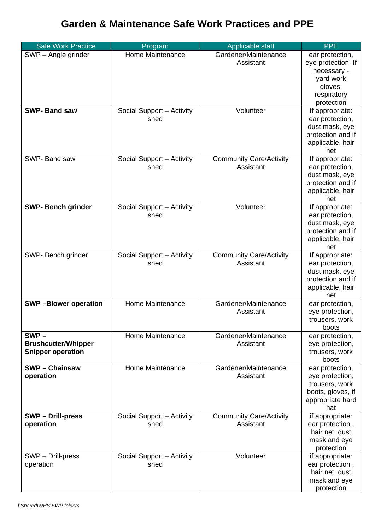## **Garden & Maintenance Safe Work Practices and PPE**

| <b>Safe Work Practice</b>                                         | Program                           | Applicable staff                            | <b>PPE</b>                                                                                                |
|-------------------------------------------------------------------|-----------------------------------|---------------------------------------------|-----------------------------------------------------------------------------------------------------------|
| SWP - Angle grinder                                               | Home Maintenance                  | Gardener/Maintenance<br>Assistant           | ear protection,<br>eye protection, If<br>necessary -<br>yard work<br>gloves,<br>respiratory<br>protection |
| <b>SWP-Band saw</b>                                               | Social Support - Activity<br>shed | Volunteer                                   | If appropriate:<br>ear protection,<br>dust mask, eye<br>protection and if<br>applicable, hair<br>net      |
| SWP-Band saw                                                      | Social Support - Activity<br>shed | <b>Community Care/Activity</b><br>Assistant | If appropriate:<br>ear protection,<br>dust mask, eye<br>protection and if<br>applicable, hair<br>net      |
| <b>SWP- Bench grinder</b>                                         | Social Support - Activity<br>shed | Volunteer                                   | If appropriate:<br>ear protection,<br>dust mask, eye<br>protection and if<br>applicable, hair<br>net      |
| SWP- Bench grinder                                                | Social Support - Activity<br>shed | <b>Community Care/Activity</b><br>Assistant | If appropriate:<br>ear protection,<br>dust mask, eye<br>protection and if<br>applicable, hair<br>net      |
| <b>SWP-Blower operation</b>                                       | Home Maintenance                  | Gardener/Maintenance<br>Assistant           | ear protection,<br>eye protection,<br>trousers, work<br>boots                                             |
| $SWP -$<br><b>Brushcutter/Whipper</b><br><b>Snipper operation</b> | Home Maintenance                  | Gardener/Maintenance<br>Assistant           | ear protection,<br>eye protection,<br>trousers, work<br>boots                                             |
| <b>SWP-Chainsaw</b><br>operation                                  | Home Maintenance                  | Gardener/Maintenance<br>Assistant           | ear protection,<br>eye protection,<br>trousers, work<br>boots, gloves, if<br>appropriate hard<br>hat      |
| <b>SWP-Drill-press</b><br>operation                               | Social Support - Activity<br>shed | <b>Community Care/Activity</b><br>Assistant | if appropriate:<br>ear protection,<br>hair net, dust<br>mask and eye<br>protection                        |
| SWP - Drill-press<br>operation                                    | Social Support - Activity<br>shed | Volunteer                                   | if appropriate:<br>ear protection,<br>hair net, dust<br>mask and eye<br>protection                        |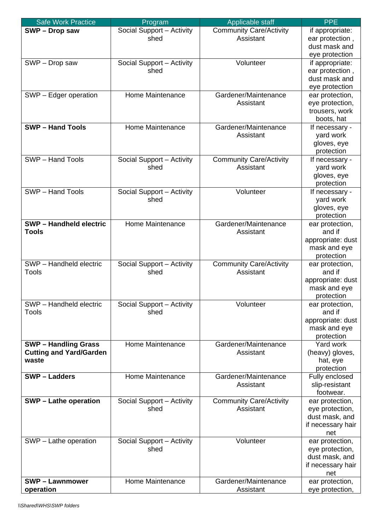| <b>Safe Work Practice</b>                                            | Program                           | Applicable staff                            | <b>PPE</b>                                                                       |
|----------------------------------------------------------------------|-----------------------------------|---------------------------------------------|----------------------------------------------------------------------------------|
| SWP - Drop saw                                                       | Social Support - Activity<br>shed | <b>Community Care/Activity</b><br>Assistant | if appropriate:<br>ear protection,<br>dust mask and<br>eye protection            |
| SWP - Drop saw                                                       | Social Support - Activity<br>shed | Volunteer                                   | if appropriate:<br>ear protection,<br>dust mask and<br>eye protection            |
| SWP - Edger operation                                                | Home Maintenance                  | Gardener/Maintenance<br>Assistant           | ear protection,<br>eye protection,<br>trousers, work<br>boots, hat               |
| <b>SWP-Hand Tools</b>                                                | Home Maintenance                  | Gardener/Maintenance<br>Assistant           | If necessary -<br>yard work<br>gloves, eye<br>protection                         |
| <b>SWP</b> - Hand Tools                                              | Social Support - Activity<br>shed | <b>Community Care/Activity</b><br>Assistant | If necessary -<br>yard work<br>gloves, eye<br>protection                         |
| SWP - Hand Tools                                                     | Social Support - Activity<br>shed | Volunteer                                   | If necessary -<br>yard work<br>gloves, eye<br>protection                         |
| <b>SWP-Handheld electric</b><br><b>Tools</b>                         | Home Maintenance                  | Gardener/Maintenance<br>Assistant           | ear protection,<br>and if<br>appropriate: dust<br>mask and eye<br>protection     |
| SWP - Handheld electric<br>Tools                                     | Social Support - Activity<br>shed | <b>Community Care/Activity</b><br>Assistant | ear protection,<br>and if<br>appropriate: dust<br>mask and eye<br>protection     |
| SWP - Handheld electric<br>Tools                                     | Social Support - Activity<br>shed | Volunteer                                   | ear protection,<br>and if<br>appropriate: dust<br>mask and eye<br>protection     |
| <b>SWP-Handling Grass</b><br><b>Cutting and Yard/Garden</b><br>waste | Home Maintenance                  | Gardener/Maintenance<br>Assistant           | Yard work<br>(heavy) gloves,<br>hat, eye<br>protection                           |
| <b>SWP-Ladders</b>                                                   | Home Maintenance                  | Gardener/Maintenance<br>Assistant           | Fully enclosed<br>slip-resistant<br>footwear.                                    |
| <b>SWP - Lathe operation</b>                                         | Social Support - Activity<br>shed | <b>Community Care/Activity</b><br>Assistant | ear protection,<br>eye protection,<br>dust mask, and<br>if necessary hair<br>net |
| SWP - Lathe operation                                                | Social Support - Activity<br>shed | Volunteer                                   | ear protection,<br>eye protection,<br>dust mask, and<br>if necessary hair<br>net |
| <b>SWP-Lawnmower</b><br>operation                                    | Home Maintenance                  | Gardener/Maintenance<br>Assistant           | ear protection,<br>eye protection,                                               |